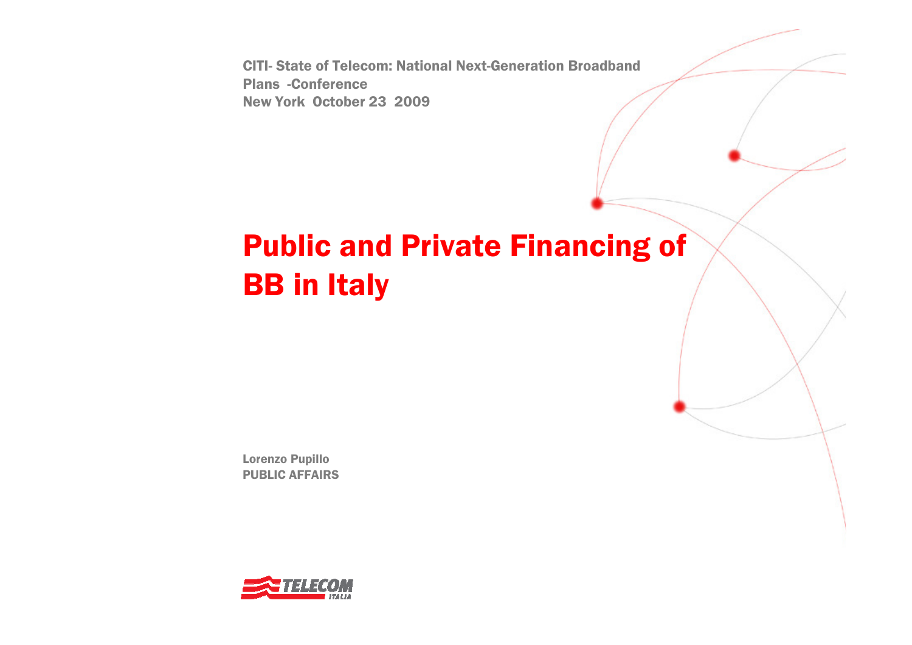CITI- State of Telecom: National Next-Generation Broadband **Plans -Conference<br>New York October** New York October 23 2009

# Public and Private Financing of BB in Italy

Lorenzo PupilloPUBLIC AFFAIRS

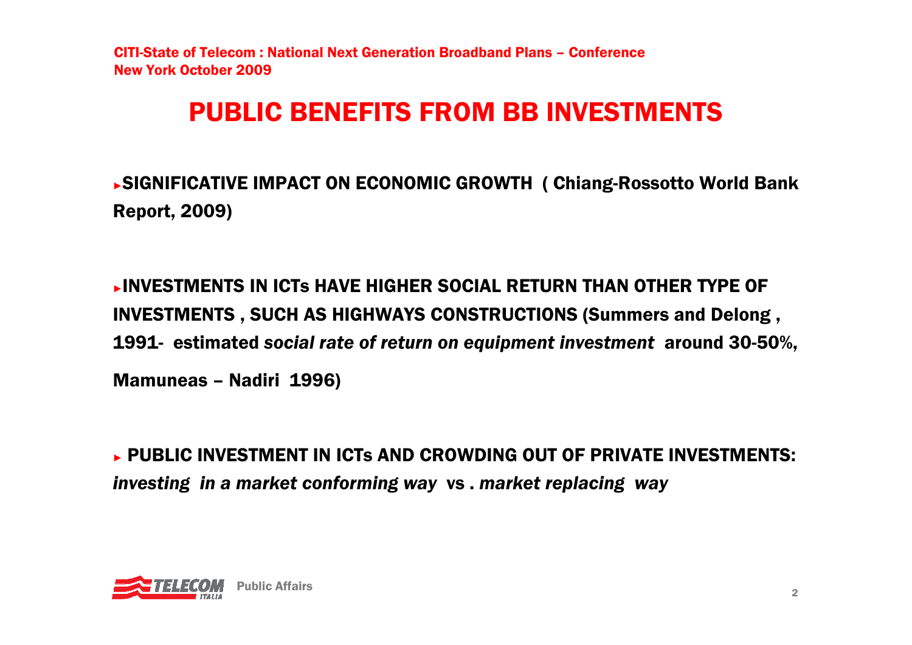# PUBLIC BENEFITS FROM BB INVESTMENTS

►SIGNIFICATIVE IMPACT ON ECONOMIC GROWTH ( Chiang-Rossotto World Bank Report, 2009)

►INVESTMENTS IN ICTs HAVE HIGHER SOCIAL RETURN THAN OTHER TYPE OF INVESTMENTS , SUCH AS HIGHWAYS CONSTRUCTIONS (Summers and Delong , 1991- estimated *social rate of return on equipment investment* around 30-50%, Mamuneas – Nadiri 1996)

► PUBLIC INVESTMENT IN ICTs AND CROWDING OUT OF PRIVATE INVESTMENTS:<br>Enveating in a market conforming way varied toologies way. *investing in a market conforming way* vs . *market replacing way*

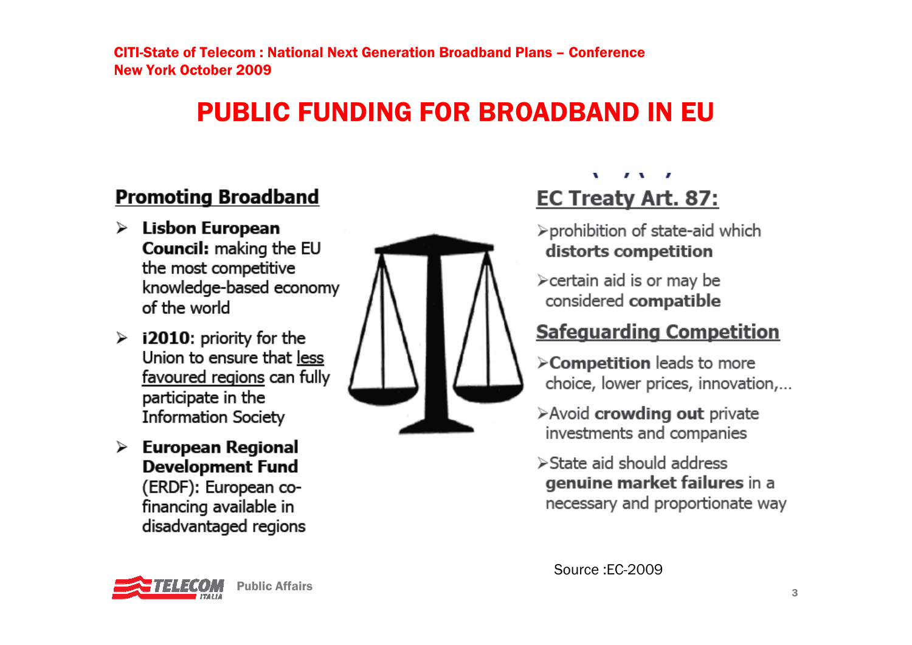# PUBLIC FUNDING FOR BROADBAND IN EU

### **Promoting Broadband**

- Lisbon European ➤ Council: making the EU the most competitive knowledge-based economy of the world
- $\triangleright$  i2010: priority for the Union to ensure that less favoured regions can fully participate in the **Information Society**
- $\triangleright$  European Regional **Development Fund** (ERDF): European cofinancing available in disadvantaged regions



#### $\mathbf{I}$   $\mathbf{V}$ **EC Treaty Art. 87:**

- >prohibition of state-aid which distorts competition
- ≻certain aid is or may be considered compatible

### **Safeguarding Competition**

- >Competition leads to more choice, lower prices, innovation,...
- $\triangleright$  Avoid crowding out private investments and companies
- $\triangleright$  State aid should address genuine market failures in a necessary and proportionate way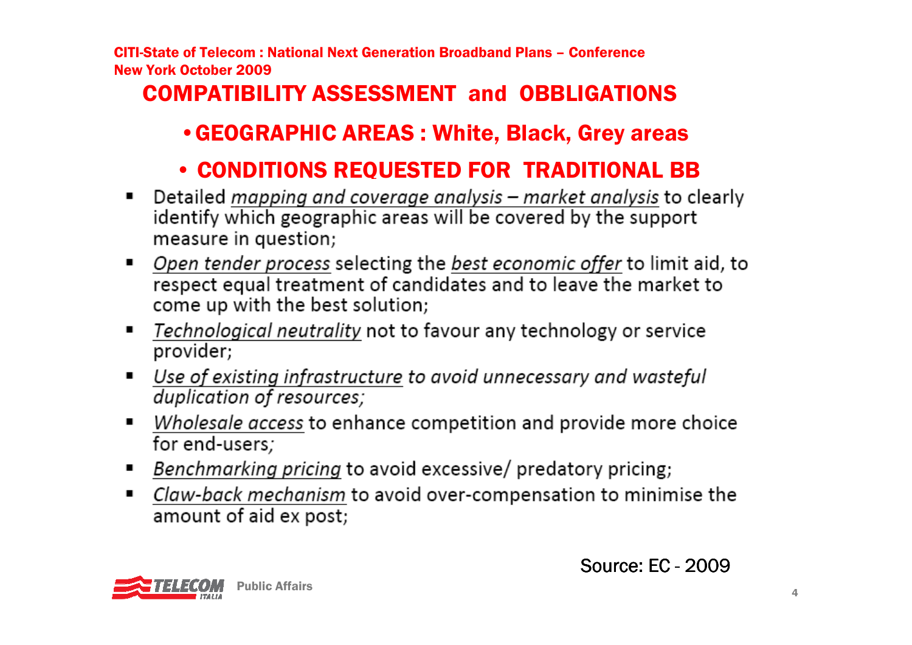### COMPATIBILITY ASSESSMENT and OBBLIGATIONS

### •GEOGRAPHIC AREAS : White, Black, Grey areas

# • CONDITIONS REQUESTED FOR TRADITIONAL BB<br>tailed manning and coverage anglysis – market anglysis to cl

- $\blacksquare$ identify which geographic areas will be covered by the support measure in question;
- Open tender process selecting the best economic offer to limit aid, to  $\blacksquare$ respect equal treatment of candidates and to leave the market to come up with the best solution;
- Technological neutrality not to favour any technology or service  $\blacksquare$ provider:
- <u>Use of existing infrastructure to avoid unnecessary and wasteful</u>  $\blacksquare$ duplication of resources;
- Wholesale access to enhance competition and provide more choice  $\blacksquare$ for end-users;
- Benchmarking pricing to avoid excessive/ predatory pricing; п
- *Claw-back mechanism* to avoid over-compensation to minimise the  $\blacksquare$ amount of aid ex post;

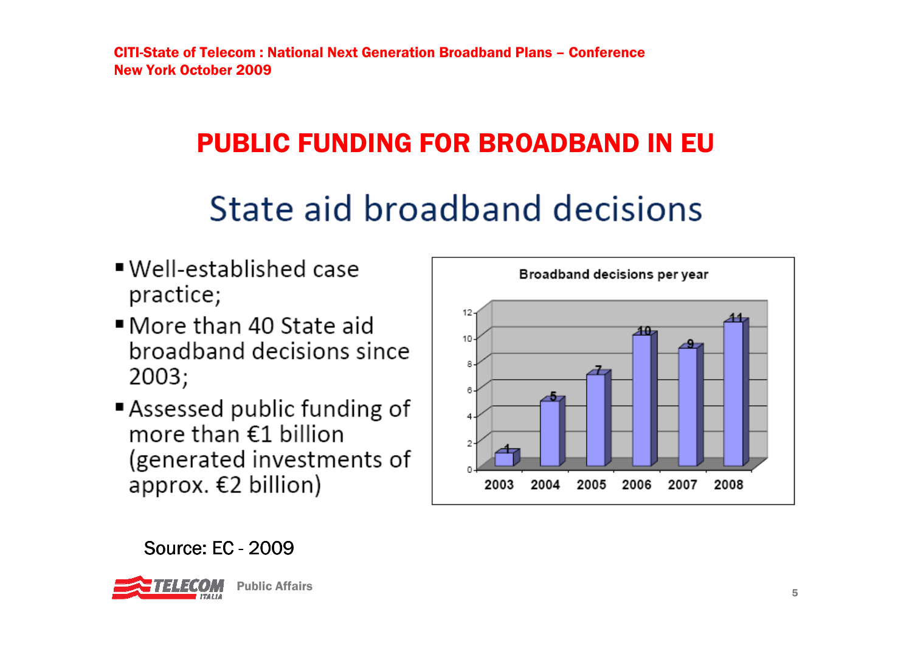# PUBLIC FUNDING FOR BROADBAND IN EU

# State aid broadband decisions

- Well-established case practice;
- More than 40 State aid broadband decisions since  $2003;$
- Assessed public funding of more than €1 billion (generated investments of approx. €2 billion)



# Source: EC - 2009



е произведение с произведение с произведение с произведение с произведение с произведение с произведение с про<br>В 1990 году с принятие с произведение с произведение с произведение с произведение с произведение с принятие с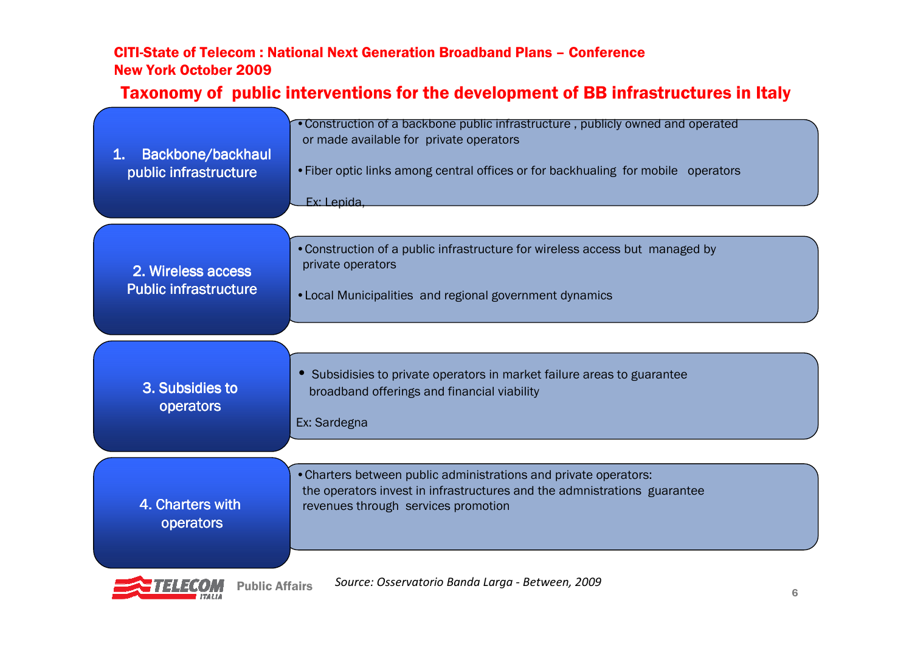# Taxonomy of public interventions for the development of BB infrastructures in Italy

| Backbone/backhaul<br>1.<br>public infrastructure   | • Construction of a backbone public infrastructure, publicly owned and operated<br>or made available for private operators<br>• Fiber optic links among central offices or for backhualing for mobile operators<br>Ex: Lepida, |
|----------------------------------------------------|--------------------------------------------------------------------------------------------------------------------------------------------------------------------------------------------------------------------------------|
| 2. Wireless access<br><b>Public infrastructure</b> | • Construction of a public infrastructure for wireless access but managed by<br>private operators<br>• Local Municipalities and regional government dynamics                                                                   |
| 3. Subsidies to<br>operators                       | • Subsidisies to private operators in market failure areas to guarantee<br>broadband offerings and financial viability<br>Ex: Sardegna                                                                                         |
| 4. Charters with<br>operators                      | . Charters between public administrations and private operators:<br>the operators invest in infrastructures and the admnistrations guarantee<br>revenues through services promotion                                            |

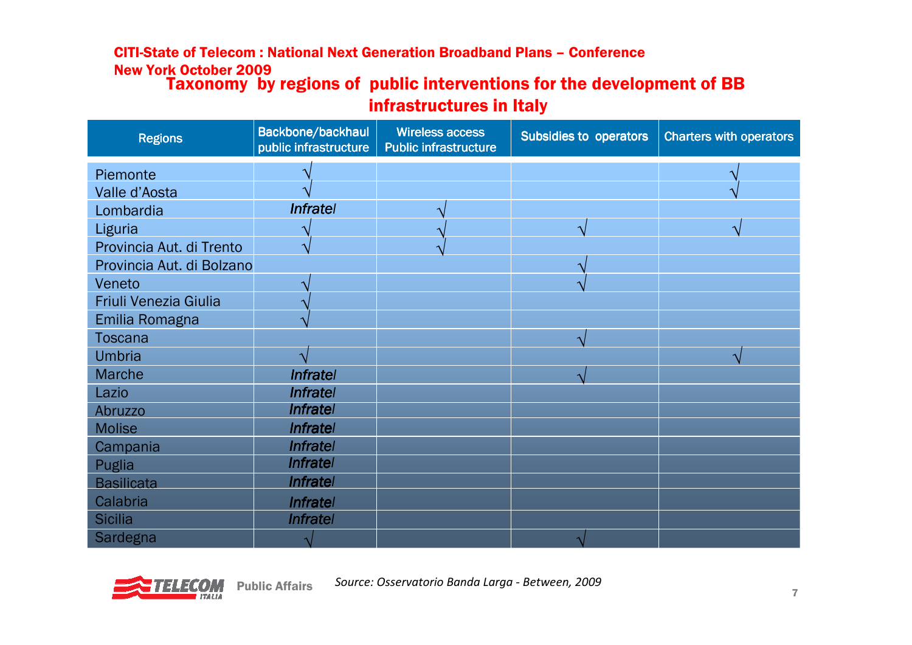# CITI-State of Telecom : National Next Generation Broadband Plans – Conference New York October 2009Taxonomy by regions of public interventions for the development of BB<br>infrastructures in Italy

#### infrastructures in Italy

| <b>Regions</b>            | Backbone/backhaul<br>public infrastructure | <b>Wireless access</b><br><b>Public infrastructure</b> | <b>Subsidies to operators</b> | <b>Charters with operators</b> |
|---------------------------|--------------------------------------------|--------------------------------------------------------|-------------------------------|--------------------------------|
| Piemonte                  |                                            |                                                        |                               |                                |
| Valle d'Aosta             |                                            |                                                        |                               |                                |
| Lombardia                 | <b>Infratel</b>                            |                                                        |                               |                                |
| Liguria                   |                                            |                                                        |                               |                                |
| Provincia Aut. di Trento  |                                            |                                                        |                               |                                |
| Provincia Aut. di Bolzano |                                            |                                                        |                               |                                |
| Veneto                    |                                            |                                                        |                               |                                |
| Friuli Venezia Giulia     |                                            |                                                        |                               |                                |
| Emilia Romagna            |                                            |                                                        |                               |                                |
| <b>Toscana</b>            |                                            |                                                        | $\mathbf{\Lambda}$            |                                |
| <b>Umbria</b>             |                                            |                                                        |                               |                                |
| Marche                    | <b>Infratel</b>                            |                                                        |                               |                                |
| Lazio                     | <b>Infratel</b>                            |                                                        |                               |                                |
| Abruzzo                   | <b>Infratel</b>                            |                                                        |                               |                                |
| <b>Molise</b>             | <b>Infratel</b>                            |                                                        |                               |                                |
| Campania                  | <b>Infratel</b>                            |                                                        |                               |                                |
| Puglia                    | <b>Infratel</b>                            |                                                        |                               |                                |
| <b>Basilicata</b>         | <b>Infratel</b>                            |                                                        |                               |                                |
| Calabria                  | <b>Infratel</b>                            |                                                        |                               |                                |
| <b>Sicilia</b>            | <b>Infratel</b>                            |                                                        |                               |                                |
| Sardegna                  |                                            |                                                        |                               |                                |



Public Affairs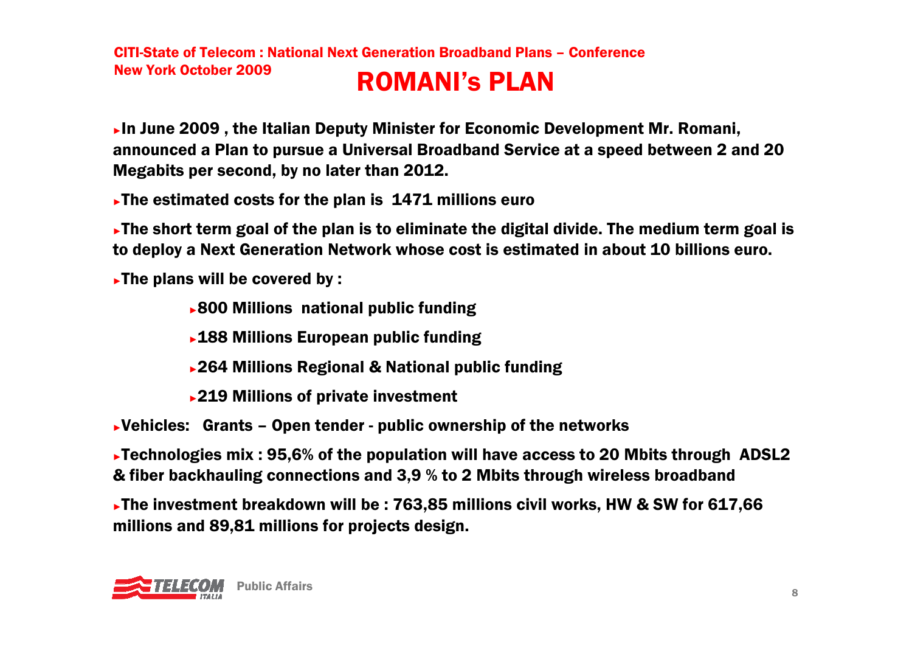►In June 2009 , the Italian Deputy Minister for Economic Development Mr. Romani, announced a Plan to pursue a Universal Broadband Service at a speed between 2 and 20 Megabits per second, by no later than 2012.

►The estimated costs for the plan is 1471 millions euro

►The short term goal of the plan is to eliminate the digital divide. The medium term goal is to deploy a Next Generation Network whose cost is estimated in about 10 billions euro.

►The plans will be covered by :

- ►800 Millions national public funding
- ►188 Millions European public funding
- ►264 Millions Regional & National public funding
- ►219 Millions of private investment

►Vehicles: Grants – Open tender - public ownership of the networks

►Technologies mix : 95,6% of the population will have access to 20 Mbits through ADSL2 & fiber backhauling connections and 3,9 % to 2 Mbits through wireless broadband

►The investment breakdown will be : 763,85 millions civil works, HW & SW for 617,66 millions and 89,81 millions for projects design.

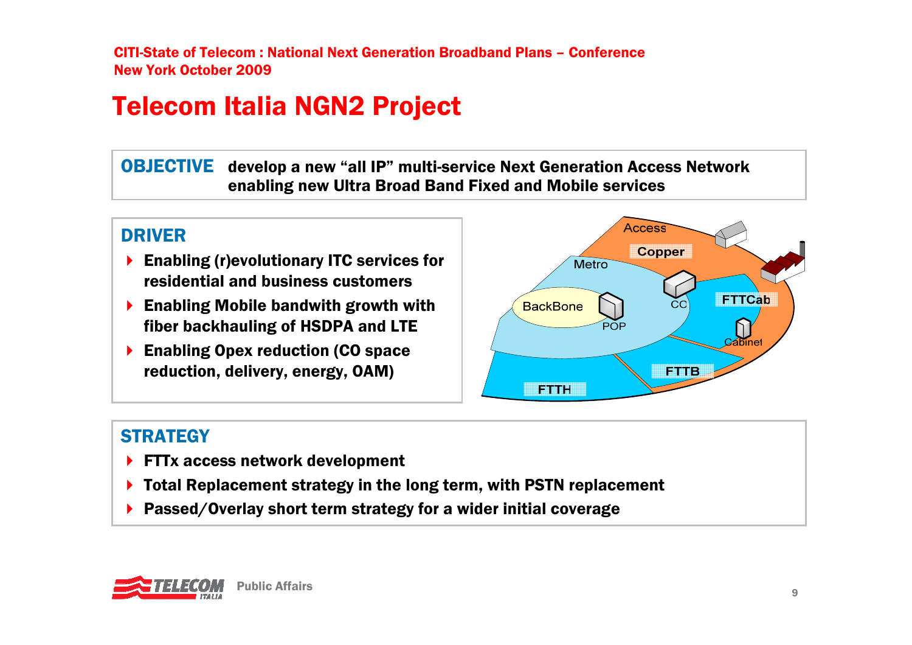# Telecom Italia NGN2 Project

**OBJECTIVE** develop a new "all IP" multi-service Next Generation Access Network<br>enabling new Ultra Broad Band Fixed and Mobile services enabling new Ultra Broad Band Fixed and Mobile services

#### DRIVER

- **Enabling (r)evolutionary ITC services for<br>residential and business customers** residential and business customers
- **Enabling Mobile bandwith growth with**<br>**Enabling of HSDPA** and LTF fiber backhauling of HSDPA and LTE
- **Enabling Opex reduction (CO space**<br>reduction delivery energy OAM) reduction, delivery, energy, OAM)



#### **STRATEGY**

- FTTx access network development
- ▶ Total Replacement strategy in the long term, with PSTN replacement<br>
N. Pessed (Overlay short term strategy for a wider initial coverage
- ▶ Passed/Overlay short term strategy for a wider initial coverage

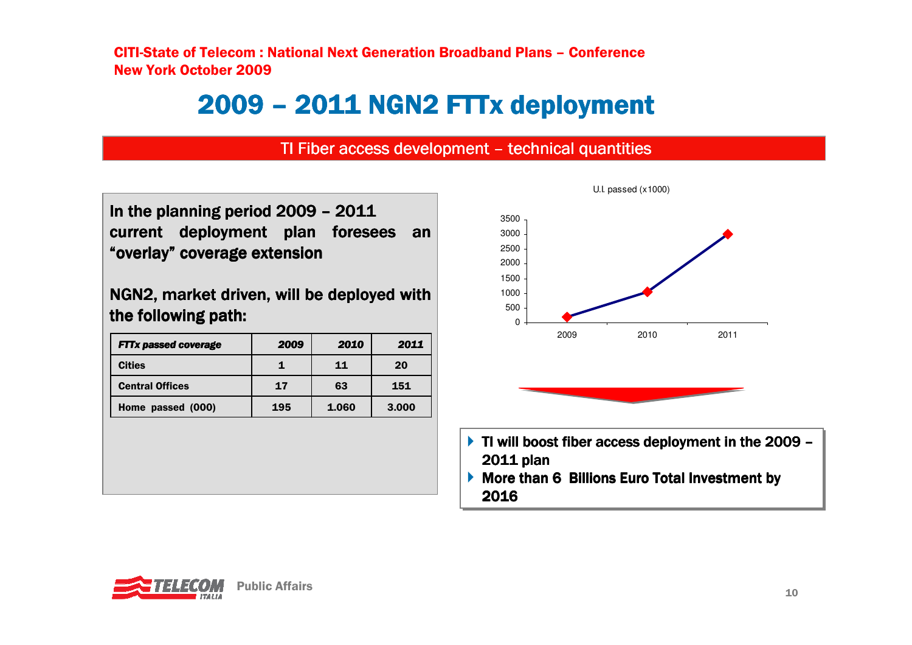# 2009 - 2011 NGN2 FTTx deployment

# TI Fiber access development – technical quantities

In the planning period 2009 – 2011<br>current deployment plan foress current deployment plan foresees an "overlay" coverage extension<br>.

NGN2, market driven, will be deployed with the following path:

| <b>FTTx passed coverage</b> | 2009 | 2010  | 2011  |
|-----------------------------|------|-------|-------|
| <b>Cities</b>               |      | 11    | 20    |
| <b>Central Offices</b>      | 17   | 63    | 151   |
| Home passed (000)           | 195  | 1.060 | 3.000 |



- TI will boost fiber access deployment in the 2009  $-$ <br>2011 plan 2011 plan<br>--
- **More than 6 Billions Euro Total Investment by**<br>2016 2016

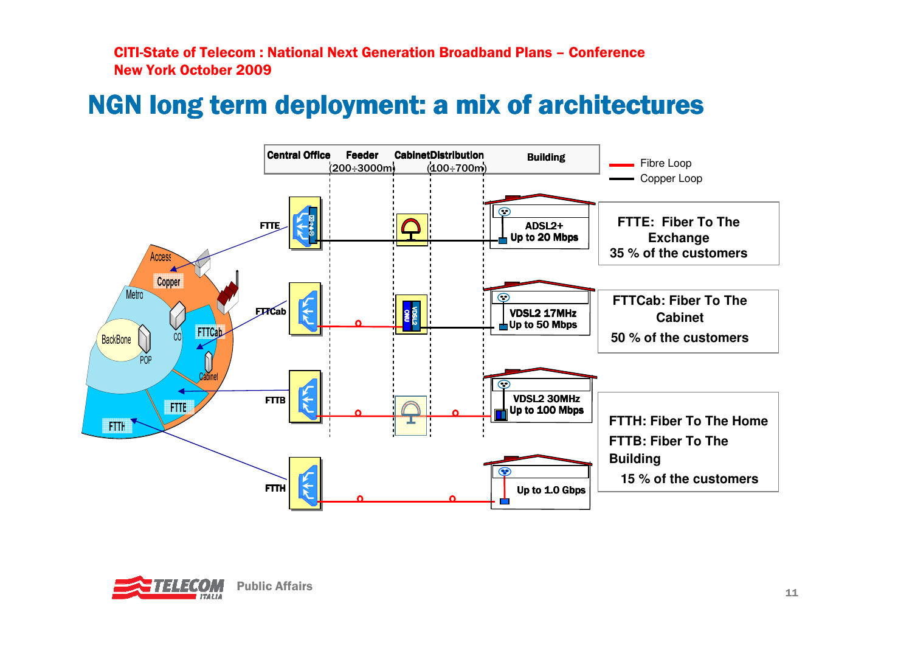## NGN long term deployment: a mix of architectures



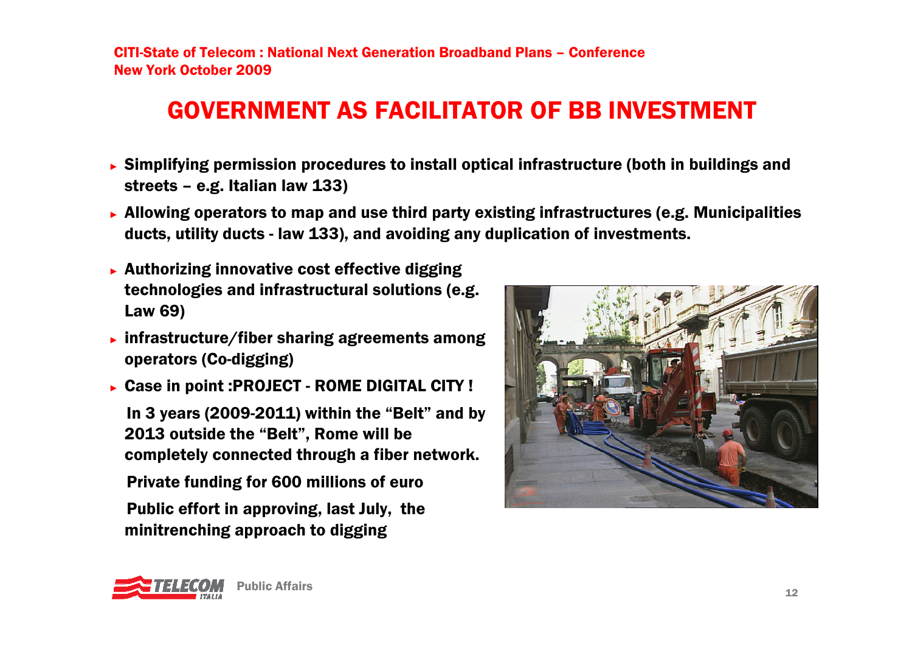### GOVERNMENT AS FACILITATOR OF BB INVESTMENT

- ► Simplifying permission procedures to install optical infrastructure (both in buildings and streets – e.g. Italian law 133)
- ► Allowing operators to map and use third party existing infrastructures (e.g. Municipalities ducts, utility ducts - law 133), and avoiding any duplication of investments.
- ► Authorizing innovative cost effective digging technologies and infrastructural solutions (e.g. Law 69)
- ► infrastructure/fiber sharing agreements among operators (Co-digging)
- ► Case in point :PROJECT ROME DIGITAL CITY ! In 3 years (2009-2011) within the "Belt" and by 2013 outside the "Belt", Rome will be completely connected through a fiber network. Private funding for 600 millions of euro Public effort in approving, last July, the minitrenching approach to digging



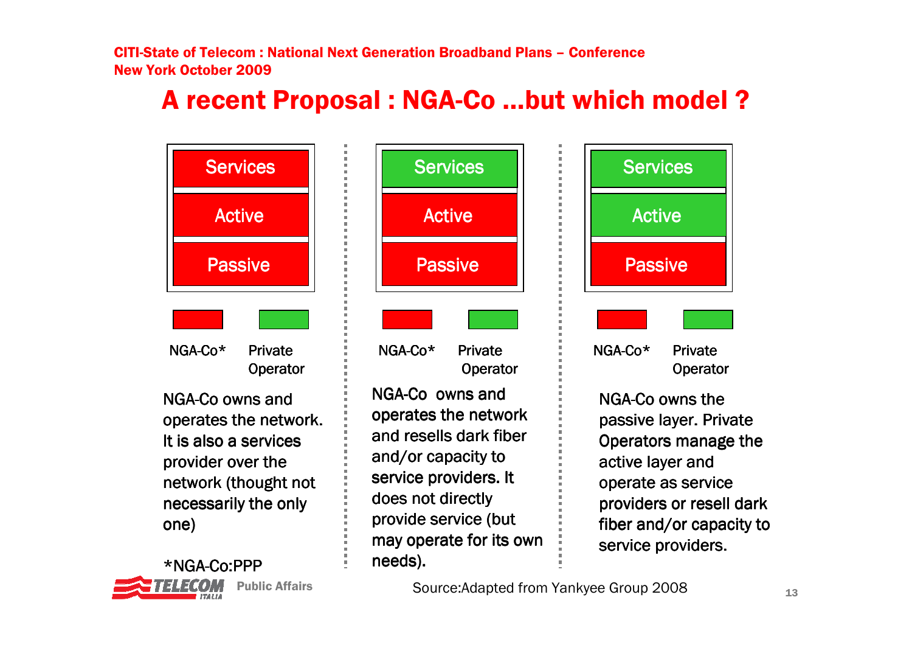## A recent Proposal : NGA-Co …but which model ?





s Source:Adapted from Yankyee Group 2008